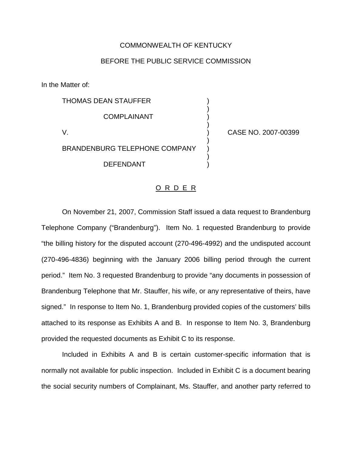## COMMONWEALTH OF KENTUCKY

## BEFORE THE PUBLIC SERVICE COMMISSION

)

)

)

)

In the Matter of:

THOMAS DEAN STAUFFER ) **COMPLAINANT** V. ) CASE NO. 2007-00399 BRANDENBURG TELEPHONE COMPANY DEFENDANT )

## O R D E R

On November 21, 2007, Commission Staff issued a data request to Brandenburg Telephone Company ("Brandenburg"). Item No. 1 requested Brandenburg to provide "the billing history for the disputed account (270-496-4992) and the undisputed account (270-496-4836) beginning with the January 2006 billing period through the current period." Item No. 3 requested Brandenburg to provide "any documents in possession of Brandenburg Telephone that Mr. Stauffer, his wife, or any representative of theirs, have signed." In response to Item No. 1, Brandenburg provided copies of the customers' bills attached to its response as Exhibits A and B. In response to Item No. 3, Brandenburg provided the requested documents as Exhibit C to its response.

Included in Exhibits A and B is certain customer-specific information that is normally not available for public inspection. Included in Exhibit C is a document bearing the social security numbers of Complainant, Ms. Stauffer, and another party referred to